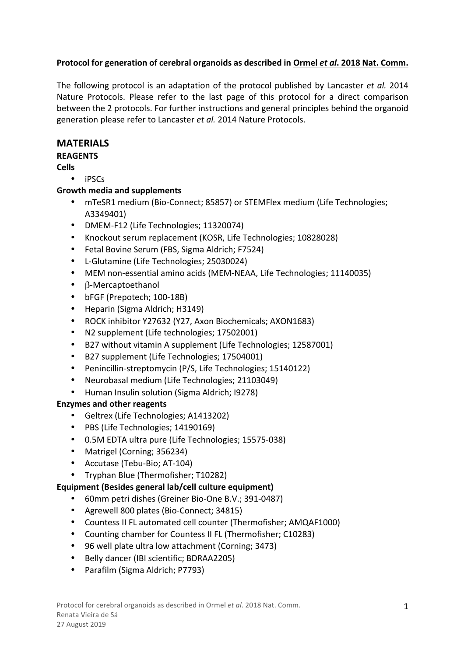# Protocol for generation of cerebral organoids as described in Ormel *et al.* 2018 Nat. Comm.

The following protocol is an adaptation of the protocol published by Lancaster *et al.* 2014 Nature Protocols. Please refer to the last page of this protocol for a direct comparison between the 2 protocols. For further instructions and general principles behind the organoid generation please refer to Lancaster et al. 2014 Nature Protocols.

# **MATERIALS**

#### **REAGENTS**

**Cells**

• iPSCs

# **Growth media and supplements**

- mTeSR1 medium (Bio-Connect; 85857) or STEMFlex medium (Life Technologies; A3349401)
- DMEM-F12 (Life Technologies; 11320074)
- Knockout serum replacement (KOSR, Life Technologies; 10828028)
- Fetal Bovine Serum (FBS, Sigma Aldrich; F7524)
- L-Glutamine (Life Technologies; 25030024)
- MEM non-essential amino acids (MEM-NEAA, Life Technologies; 11140035)
- β-Mercaptoethanol
- bFGF (Prepotech; 100-18B)
- Heparin (Sigma Aldrich; H3149)
- ROCK inhibitor Y27632 (Y27, Axon Biochemicals; AXON1683)
- N2 supplement (Life technologies; 17502001)
- B27 without vitamin A supplement (Life Technologies; 12587001)
- B27 supplement (Life Technologies; 17504001)
- Penincillin-streptomycin (P/S, Life Technologies; 15140122)
- Neurobasal medium (Life Technologies; 21103049)
- Human Insulin solution (Sigma Aldrich; 19278)

# **Enzymes and other reagents**

- Geltrex (Life Technologies; A1413202)
- PBS (Life Technologies; 14190169)
- 0.5M EDTA ultra pure (Life Technologies; 15575-038)
- Matrigel (Corning; 356234)
- Accutase (Tebu-Bio; AT-104)
- Tryphan Blue (Thermofisher; T10282)

# **Equipment (Besides general lab/cell culture equipment)**

- 60mm petri dishes (Greiner Bio-One B.V.; 391-0487)
- Agrewell 800 plates (Bio-Connect; 34815)
- Countess II FL automated cell counter (Thermofisher; AMQAF1000)
- Counting chamber for Countess II FL (Thermofisher; C10283)
- 96 well plate ultra low attachment (Corning; 3473)
- Belly dancer (IBI scientific; BDRAA2205)
- Parafilm (Sigma Aldrich; P7793)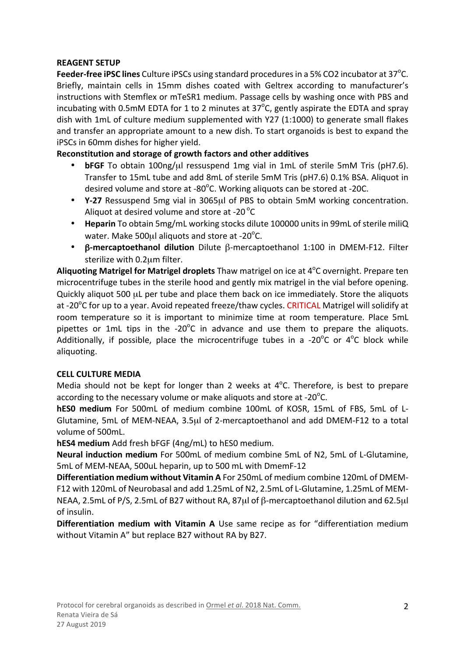#### **REAGENT SETUP**

Feeder-free iPSC lines Culture iPSCs using standard procedures in a 5% CO2 incubator at 37<sup>o</sup>C. Briefly, maintain cells in 15mm dishes coated with Geltrex according to manufacturer's instructions with Stemflex or mTeSR1 medium. Passage cells by washing once with PBS and incubating with 0.5mM EDTA for 1 to 2 minutes at 37 $^{\circ}$ C, gently aspirate the EDTA and spray dish with 1mL of culture medium supplemented with Y27 (1:1000) to generate small flakes and transfer an appropriate amount to a new dish. To start organoids is best to expand the iPSCs in 60mm dishes for higher yield.

# **Reconstitution and storage of growth factors and other additives**

- **bFGF** To obtain 100ng/µl ressuspend 1mg vial in 1mL of sterile 5mM Tris (pH7.6). Transfer to 15mL tube and add 8mL of sterile 5mM Tris (pH7.6) 0.1% BSA. Aliquot in desired volume and store at -80°C. Working aliquots can be stored at -20C.
- **Y-27** Ressuspend 5mg vial in 3065µl of PBS to obtain 5mM working concentration. Aliquot at desired volume and store at -20  $^{\circ}$ C
- Heparin To obtain 5mg/mL working stocks dilute 100000 units in 99mL of sterile miliQ water. Make 500 $\mu$ l aliquots and store at -20 $\rm ^o$ C.
- β-mercaptoethanol dilution Dilute β-mercaptoethanol 1:100 in DMEM-F12. Filter sterilize with 0.2um filter.

**Aliquoting Matrigel for Matrigel droplets** Thaw matrigel on ice at 4<sup>o</sup>C overnight. Prepare ten microcentrifuge tubes in the sterile hood and gently mix matrigel in the vial before opening. Quickly aliquot 500 uL per tube and place them back on ice immediately. Store the aliquots at -20<sup>o</sup>C for up to a year. Avoid repeated freeze/thaw cycles. CRITICAL Matrigel will solidify at room temperature so it is important to minimize time at room temperature. Place 5mL pipettes or 1mL tips in the -20 $^{\circ}$ C in advance and use them to prepare the aliquots. Additionally, if possible, place the microcentrifuge tubes in a -20 $^{\circ}$ C or 4 $^{\circ}$ C block while aliquoting.

#### **CELL CULTURE MEDIA**

Media should not be kept for longer than 2 weeks at  $4^{\circ}$ C. Therefore, is best to prepare according to the necessary volume or make aliquots and store at -20 $^{\circ}$ C.

**hES0** medium For 500mL of medium combine 100mL of KOSR, 15mL of FBS, 5mL of L-Glutamine, 5mL of MEM-NEAA, 3.5µl of 2-mercaptoethanol and add DMEM-F12 to a total volume of 500mL.

**hES4** medium Add fresh bFGF (4ng/mL) to hES0 medium.

**Neural induction medium** For 500mL of medium combine 5mL of N2, 5mL of L-Glutamine, 5mL of MEM-NEAA, 500uL heparin, up to 500 mL with DmemF-12

**Differentiation medium without Vitamin A** For 250mL of medium combine 120mL of DMEM-F12 with 120mL of Neurobasal and add 1.25mL of N2, 2.5mL of L-Glutamine, 1.25mL of MEM-NEAA, 2.5mL of P/S, 2.5mL of B27 without RA, 87 $\mu$ l of  $\beta$ -mercaptoethanol dilution and 62.5 $\mu$ l of insulin.

**Differentiation medium with Vitamin A** Use same recipe as for "differentiation medium without Vitamin A" but replace B27 without RA by B27.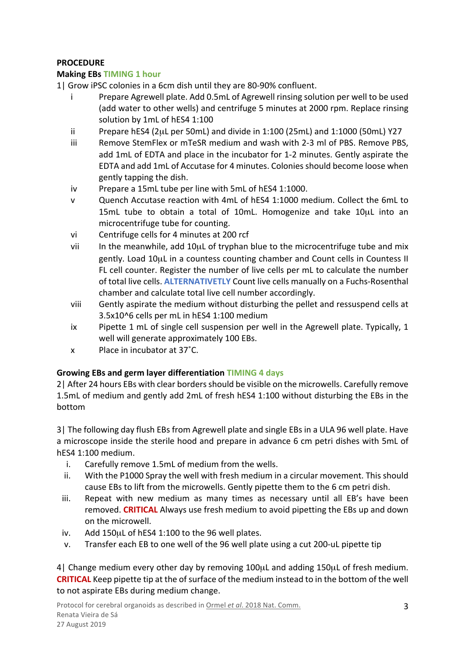# **PROCEDURE**

#### **Making EBs TIMING 1 hour**

- 1| Grow iPSC colonies in a 6cm dish until they are 80-90% confluent.
	- Prepare Agrewell plate. Add 0.5mL of Agrewell rinsing solution per well to be used (add water to other wells) and centrifuge 5 minutes at 2000 rpm. Replace rinsing solution by 1mL of hES4 1:100
	- ii Prepare hES4 (2µL per 50mL) and divide in 1:100 (25mL) and 1:1000 (50mL) Y27
	- iii Remove StemFlex or mTeSR medium and wash with 2-3 ml of PBS. Remove PBS. add 1mL of EDTA and place in the incubator for 1-2 minutes. Gently aspirate the EDTA and add 1mL of Accutase for 4 minutes. Colonies should become loose when gently tapping the dish.
	- iv Prepare a 15mL tube per line with 5mL of hES4 1:1000.
	- v Quench Accutase reaction with 4mL of hES4 1:1000 medium. Collect the 6mL to 15mL tube to obtain a total of 10mL. Homogenize and take  $10\mu$ L into an microcentrifuge tube for counting.
	- vi Centrifuge cells for 4 minutes at 200 rcf
	- vii In the meanwhile, add 10 $\mu$ L of tryphan blue to the microcentrifuge tube and mix gently. Load 10µL in a countess counting chamber and Count cells in Countess II FL cell counter. Register the number of live cells per mL to calculate the number of total live cells. **ALTERNATIVETLY** Count live cells manually on a Fuchs-Rosenthal chamber and calculate total live cell number accordingly.
	- viii Gently aspirate the medium without disturbing the pellet and ressuspend cells at 3.5x10^6 cells per mL in hES4 1:100 medium
	- ix Pipette 1 mL of single cell suspension per well in the Agrewell plate. Typically, 1 well will generate approximately 100 EBs.
	- $x$  Place in incubator at 37 $^{\circ}$ C.

# **Growing EBs and germ layer differentiation TIMING 4 days**

2) After 24 hours EBs with clear borders should be visible on the microwells. Carefully remove 1.5mL of medium and gently add 2mL of fresh hES4 1:100 without disturbing the EBs in the bottom

3) The following day flush EBs from Agrewell plate and single EBs in a ULA 96 well plate. Have a microscope inside the sterile hood and prepare in advance 6 cm petri dishes with 5mL of hES4 1:100 medium.

- i. Carefully remove 1.5mL of medium from the wells.
- ii. With the P1000 Spray the well with fresh medium in a circular movement. This should cause EBs to lift from the microwells. Gently pipette them to the 6 cm petri dish.
- iii. Repeat with new medium as many times as necessary until all EB's have been removed. CRITICAL Always use fresh medium to avoid pipetting the EBs up and down on the microwell.
- iv. Add 150uL of hES4 1:100 to the 96 well plates.
- v. Transfer each EB to one well of the 96 well plate using a cut 200-uL pipette tip

4) Change medium every other day by removing  $100\mu$ L and adding  $150\mu$ L of fresh medium. **CRITICAL** Keep pipette tip at the of surface of the medium instead to in the bottom of the well to not aspirate EBs during medium change.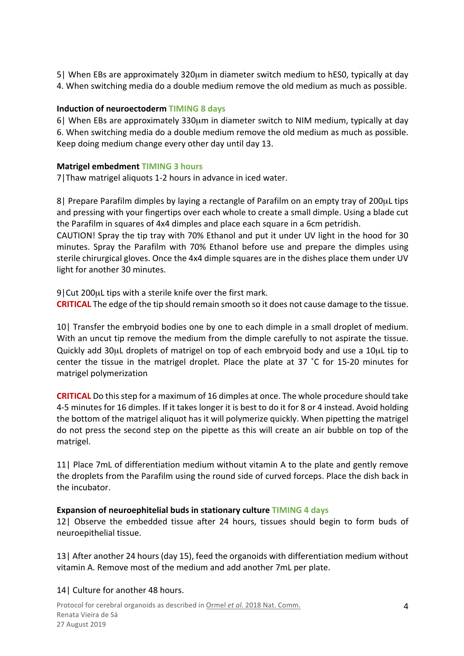5. When EBs are approximately  $320\mu m$  in diameter switch medium to hES0, typically at day 4. When switching media do a double medium remove the old medium as much as possible.

#### **Induction of neuroectoderm TIMING 8 days**

6| When EBs are approximately 330 $\mu$ m in diameter switch to NIM medium, typically at day 6. When switching media do a double medium remove the old medium as much as possible. Keep doing medium change every other day until day 13.

#### **Matrigel embedment TIMING 3 hours**

7| Thaw matrigel aliquots 1-2 hours in advance in iced water.

8) Prepare Parafilm dimples by laying a rectangle of Parafilm on an empty tray of 200µL tips and pressing with your fingertips over each whole to create a small dimple. Using a blade cut the Parafilm in squares of 4x4 dimples and place each square in a 6cm petridish.

CAUTION! Spray the tip tray with 70% Ethanol and put it under UV light in the hood for 30 minutes. Spray the Parafilm with 70% Ethanol before use and prepare the dimples using sterile chirurgical gloves. Once the 4x4 dimple squares are in the dishes place them under UV light for another 30 minutes.

9| Cut 200µL tips with a sterile knife over the first mark. **CRITICAL** The edge of the tip should remain smooth so it does not cause damage to the tissue.

10| Transfer the embryoid bodies one by one to each dimple in a small droplet of medium. With an uncut tip remove the medium from the dimple carefully to not aspirate the tissue. Quickly add  $30\mu$ L droplets of matrigel on top of each embryoid body and use a  $10\mu$ L tip to center the tissue in the matrigel droplet. Place the plate at 37 °C for 15-20 minutes for matrigel polymerization

**CRITICAL** Do this step for a maximum of 16 dimples at once. The whole procedure should take 4-5 minutes for 16 dimples. If it takes longer it is best to do it for 8 or 4 instead. Avoid holding the bottom of the matrigel aliquot has it will polymerize quickly. When pipetting the matrigel do not press the second step on the pipette as this will create an air bubble on top of the matrigel.

11| Place 7mL of differentiation medium without vitamin A to the plate and gently remove the droplets from the Parafilm using the round side of curved forceps. Place the dish back in the incubator.

#### **Expansion of neuroephitelial buds in stationary culture TIMING 4 days**

12| Observe the embedded tissue after 24 hours, tissues should begin to form buds of neuroepithelial tissue.

13 After another 24 hours (day 15), feed the organoids with differentiation medium without vitamin A. Remove most of the medium and add another 7mL per plate.

# 14| Culture for another 48 hours.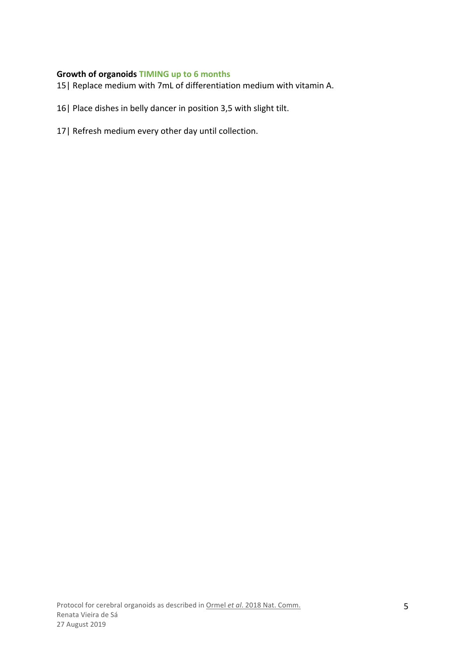# **Growth of organoids TIMING up to 6 months**

15| Replace medium with 7mL of differentiation medium with vitamin A.

- 16| Place dishes in belly dancer in position 3,5 with slight tilt.
- 17| Refresh medium every other day until collection.